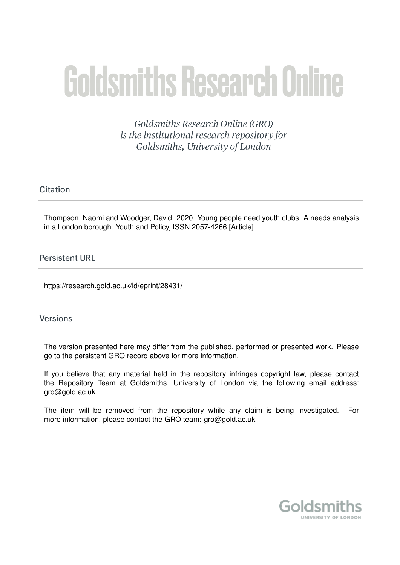# **Goldsmiths Research Online**

Goldsmiths Research Online (GRO) is the institutional research repository for Goldsmiths, University of London

# Citation

Thompson, Naomi and Woodger, David. 2020. Young people need youth clubs. A needs analysis in a London borough. Youth and Policy, ISSN 2057-4266 [Article]

# **Persistent URL**

https://research.gold.ac.uk/id/eprint/28431/

# **Versions**

The version presented here may differ from the published, performed or presented work. Please go to the persistent GRO record above for more information.

If you believe that any material held in the repository infringes copyright law, please contact the Repository Team at Goldsmiths, University of London via the following email address: gro@gold.ac.uk.

The item will be removed from the repository while any claim is being investigated. For more information, please contact the GRO team: gro@gold.ac.uk

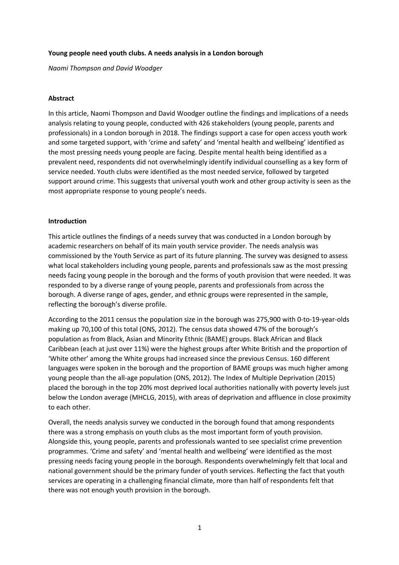## **Young people need youth clubs. A needs analysis in a London borough**

*Naomi Thompson and David Woodger*

## **Abstract**

In this article, Naomi Thompson and David Woodger outline the findings and implications of a needs analysis relating to young people, conducted with 426 stakeholders (young people, parents and professionals) in a London borough in 2018. The findings support a case for open access youth work and some targeted support, with 'crime and safety' and 'mental health and wellbeing' identified as the most pressing needs young people are facing. Despite mental health being identified as a prevalent need, respondents did not overwhelmingly identify individual counselling as a key form of service needed. Youth clubs were identified as the most needed service, followed by targeted support around crime. This suggests that universal youth work and other group activity is seen as the most appropriate response to young people's needs.

## **Introduction**

This article outlines the findings of a needs survey that was conducted in a London borough by academic researchers on behalf of its main youth service provider. The needs analysis was commissioned by the Youth Service as part of its future planning. The survey was designed to assess what local stakeholders including young people, parents and professionals saw as the most pressing needs facing young people in the borough and the forms of youth provision that were needed. It was responded to by a diverse range of young people, parents and professionals from across the borough. A diverse range of ages, gender, and ethnic groups were represented in the sample, reflecting the borough's diverse profile.

According to the 2011 census the population size in the borough was 275,900 with 0-to-19-year-olds making up 70,100 of this total (ONS, 2012). The census data showed 47% of the borough's population as from Black, Asian and Minority Ethnic (BAME) groups. Black African and Black Caribbean (each at just over 11%) were the highest groups after White British and the proportion of 'White other' among the White groups had increased since the previous Census. 160 different languages were spoken in the borough and the proportion of BAME groups was much higher among young people than the all-age population (ONS, 2012). The Index of Multiple Deprivation (2015) placed the borough in the top 20% most deprived local authorities nationally with poverty levels just below the London average (MHCLG, 2015), with areas of deprivation and affluence in close proximity to each other.

Overall, the needs analysis survey we conducted in the borough found that among respondents there was a strong emphasis on youth clubs as the most important form of youth provision. Alongside this, young people, parents and professionals wanted to see specialist crime prevention programmes. 'Crime and safety' and 'mental health and wellbeing' were identified as the most pressing needs facing young people in the borough. Respondents overwhelmingly felt that local and national government should be the primary funder of youth services. Reflecting the fact that youth services are operating in a challenging financial climate, more than half of respondents felt that there was not enough youth provision in the borough.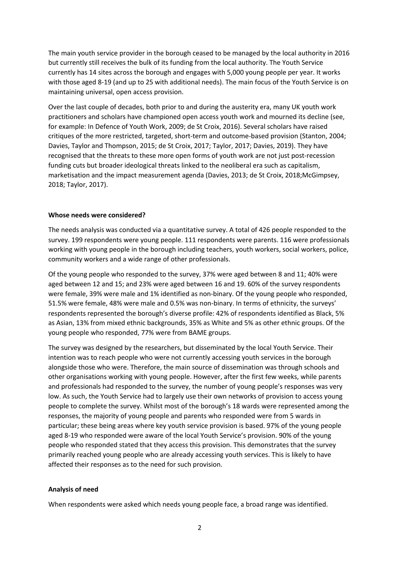The main youth service provider in the borough ceased to be managed by the local authority in 2016 but currently still receives the bulk of its funding from the local authority. The Youth Service currently has 14 sites across the borough and engages with 5,000 young people per year. It works with those aged 8-19 (and up to 25 with additional needs). The main focus of the Youth Service is on maintaining universal, open access provision.

Over the last couple of decades, both prior to and during the austerity era, many UK youth work practitioners and scholars have championed open access youth work and mourned its decline (see, for example: In Defence of Youth Work, 2009; de St Croix, 2016). Several scholars have raised critiques of the more restricted, targeted, short-term and outcome-based provision (Stanton, 2004; Davies, Taylor and Thompson, 2015; de St Croix, 2017; Taylor, 2017; Davies, 2019). They have recognised that the threats to these more open forms of youth work are not just post-recession funding cuts but broader ideological threats linked to the neoliberal era such as capitalism, marketisation and the impact measurement agenda (Davies, 2013; de St Croix, 2018;McGimpsey, 2018; Taylor, 2017).

#### **Whose needs were considered?**

The needs analysis was conducted via a quantitative survey. A total of 426 people responded to the survey. 199 respondents were young people. 111 respondents were parents. 116 were professionals working with young people in the borough including teachers, youth workers, social workers, police, community workers and a wide range of other professionals.

Of the young people who responded to the survey, 37% were aged between 8 and 11; 40% were aged between 12 and 15; and 23% were aged between 16 and 19. 60% of the survey respondents were female, 39% were male and 1% identified as non-binary. Of the young people who responded, 51.5% were female, 48% were male and 0.5% was non-binary. In terms of ethnicity, the surveys' respondents represented the borough's diverse profile: 42% of respondents identified as Black, 5% as Asian, 13% from mixed ethnic backgrounds, 35% as White and 5% as other ethnic groups. Of the young people who responded, 77% were from BAME groups.

The survey was designed by the researchers, but disseminated by the local Youth Service. Their intention was to reach people who were not currently accessing youth services in the borough alongside those who were. Therefore, the main source of dissemination was through schools and other organisations working with young people. However, after the first few weeks, while parents and professionals had responded to the survey, the number of young people's responses was very low. As such, the Youth Service had to largely use their own networks of provision to access young people to complete the survey. Whilst most of the borough's 18 wards were represented among the responses, the majority of young people and parents who responded were from 5 wards in particular; these being areas where key youth service provision is based. 97% of the young people aged 8-19 who responded were aware of the local Youth Service's provision. 90% of the young people who responded stated that they access this provision. This demonstrates that the survey primarily reached young people who are already accessing youth services. This is likely to have affected their responses as to the need for such provision.

#### **Analysis of need**

When respondents were asked which needs young people face, a broad range was identified.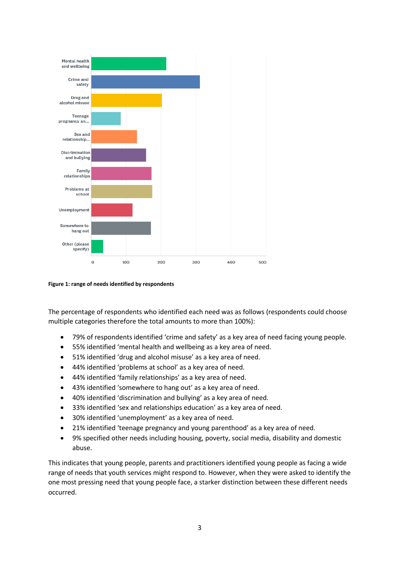

**Figure 1: range of needs identified by respondents**

The percentage of respondents who identified each need was as follows (respondents could choose multiple categories therefore the total amounts to more than 100%):

- 79% of respondents identified 'crime and safety' as a key area of need facing young people.
- 55% identified 'mental health and wellbeing as a key area of need.
- 51% identified 'drug and alcohol misuse' as a key area of need.
- 44% identified 'problems at school' as a key area of need.
- 44% identified 'family relationships' as a key area of need.
- 43% identified 'somewhere to hang out' as a key area of need.
- 40% identified 'discrimination and bullying' as a key area of need.
- 33% identified 'sex and relationships education' as a key area of need.
- 30% identified 'unemployment' as a key area of need.
- 21% identified 'teenage pregnancy and young parenthood' as a key area of need.
- 9% specified other needs including housing, poverty, social media, disability and domestic abuse.

This indicates that young people, parents and practitioners identified young people as facing a wide range of needs that youth services might respond to. However, when they were asked to identify the one most pressing need that young people face, a starker distinction between these different needs occurred.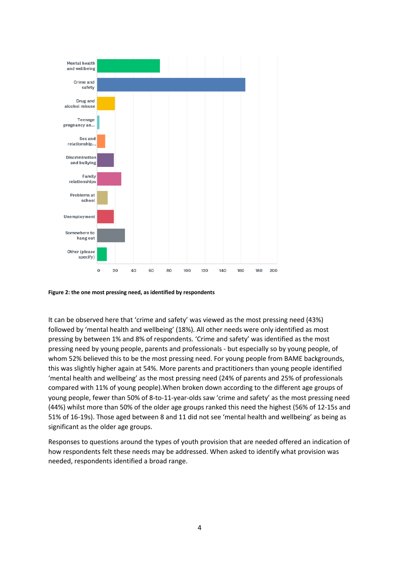

**Figure 2: the one most pressing need, as identified by respondents**

It can be observed here that 'crime and safety' was viewed as the most pressing need (43%) followed by 'mental health and wellbeing' (18%). All other needs were only identified as most pressing by between 1% and 8% of respondents. 'Crime and safety' was identified as the most pressing need by young people, parents and professionals - but especially so by young people, of whom 52% believed this to be the most pressing need. For young people from BAME backgrounds, this was slightly higher again at 54%. More parents and practitioners than young people identified 'mental health and wellbeing' as the most pressing need (24% of parents and 25% of professionals compared with 11% of young people).When broken down according to the different age groups of young people, fewer than 50% of 8-to-11-year-olds saw 'crime and safety' as the most pressing need (44%) whilst more than 50% of the older age groups ranked this need the highest (56% of 12-15s and 51% of 16-19s). Those aged between 8 and 11 did not see 'mental health and wellbeing' as being as significant as the older age groups.

Responses to questions around the types of youth provision that are needed offered an indication of how respondents felt these needs may be addressed. When asked to identify what provision was needed, respondents identified a broad range.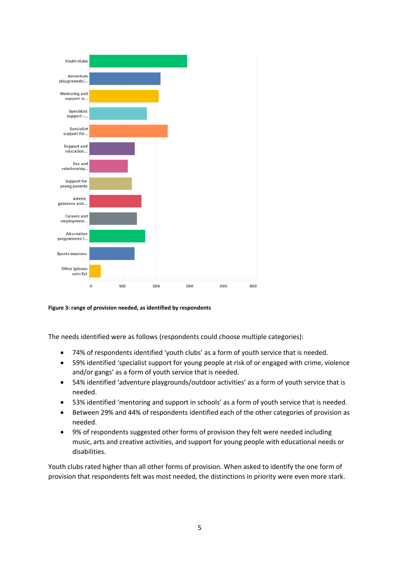

**Figure 3: range of provision needed, as identified by respondents**

The needs identified were as follows (respondents could choose multiple categories):

- 74% of respondents identified 'youth clubs' as a form of youth service that is needed.
- 59% identified 'specialist support for young people at risk of or engaged with crime, violence and/or gangs' as a form of youth service that is needed.
- 54% identified 'adventure playgrounds/outdoor activities' as a form of youth service that is needed.
- 53% identified 'mentoring and support in schools' as a form of youth service that is needed.
- Between 29% and 44% of respondents identified each of the other categories of provision as needed.
- 9% of respondents suggested other forms of provision they felt were needed including music, arts and creative activities, and support for young people with educational needs or disabilities.

Youth clubs rated higher than all other forms of provision. When asked to identify the one form of provision that respondents felt was most needed, the distinctions in priority were even more stark.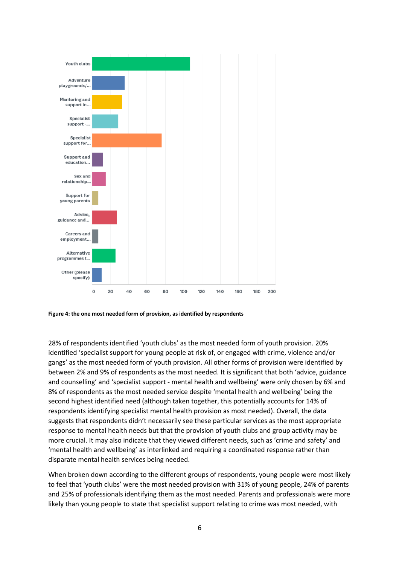

**Figure 4: the one most needed form of provision, as identified by respondents**

28% of respondents identified 'youth clubs' as the most needed form of youth provision. 20% identified 'specialist support for young people at risk of, or engaged with crime, violence and/or gangs' as the most needed form of youth provision. All other forms of provision were identified by between 2% and 9% of respondents as the most needed. It is significant that both 'advice, guidance and counselling' and 'specialist support - mental health and wellbeing' were only chosen by 6% and 8% of respondents as the most needed service despite 'mental health and wellbeing' being the second highest identified need (although taken together, this potentially accounts for 14% of respondents identifying specialist mental health provision as most needed). Overall, the data suggests that respondents didn't necessarily see these particular services as the most appropriate response to mental health needs but that the provision of youth clubs and group activity may be more crucial. It may also indicate that they viewed different needs, such as 'crime and safety' and 'mental health and wellbeing' as interlinked and requiring a coordinated response rather than disparate mental health services being needed.

When broken down according to the different groups of respondents, young people were most likely to feel that 'youth clubs' were the most needed provision with 31% of young people, 24% of parents and 25% of professionals identifying them as the most needed. Parents and professionals were more likely than young people to state that specialist support relating to crime was most needed, with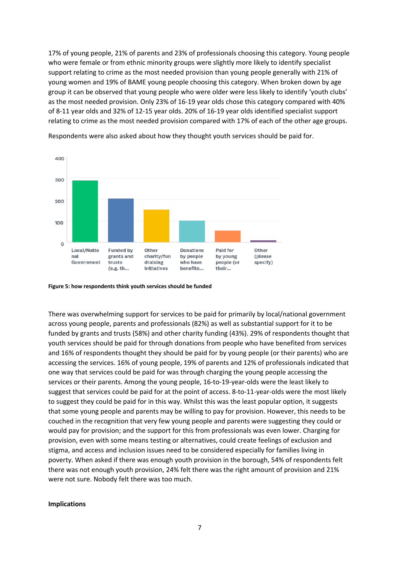17% of young people, 21% of parents and 23% of professionals choosing this category. Young people who were female or from ethnic minority groups were slightly more likely to identify specialist support relating to crime as the most needed provision than young people generally with 21% of young women and 19% of BAME young people choosing this category. When broken down by age group it can be observed that young people who were older were less likely to identify 'youth clubs' as the most needed provision. Only 23% of 16-19 year olds chose this category compared with 40% of 8-11 year olds and 32% of 12-15 year olds. 20% of 16-19 year olds identified specialist support relating to crime as the most needed provision compared with 17% of each of the other age groups.



Respondents were also asked about how they thought youth services should be paid for.

**Figure 5: how respondents think youth services should be funded**

There was overwhelming support for services to be paid for primarily by local/national government across young people, parents and professionals (82%) as well as substantial support for it to be funded by grants and trusts (58%) and other charity funding (43%). 29% of respondents thought that youth services should be paid for through donations from people who have benefited from services and 16% of respondents thought they should be paid for by young people (or their parents) who are accessing the services. 16% of young people, 19% of parents and 12% of professionals indicated that one way that services could be paid for was through charging the young people accessing the services or their parents. Among the young people, 16-to-19-year-olds were the least likely to suggest that services could be paid for at the point of access. 8-to-11-year-olds were the most likely to suggest they could be paid for in this way. Whilst this was the least popular option, it suggests that some young people and parents may be willing to pay for provision. However, this needs to be couched in the recognition that very few young people and parents were suggesting they could or would pay for provision; and the support for this from professionals was even lower. Charging for provision, even with some means testing or alternatives, could create feelings of exclusion and stigma, and access and inclusion issues need to be considered especially for families living in poverty. When asked if there was enough youth provision in the borough, 54% of respondents felt there was not enough youth provision, 24% felt there was the right amount of provision and 21% were not sure. Nobody felt there was too much.

#### **Implications**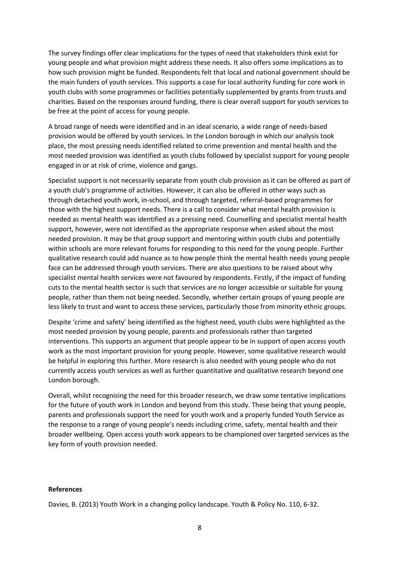The survey findings offer clear implications for the types of need that stakeholders think exist for young people and what provision might address these needs. It also offers some implications as to how such provision might be funded. Respondents felt that local and national government should be the main funders of youth services. This supports a case for local authority funding for core work in youth clubs with some programmes or facilities potentially supplemented by grants from trusts and charities. Based on the responses around funding, there is clear overall support for youth services to be free at the point of access for young people.

A broad range of needs were identified and in an ideal scenario, a wide range of needs-based provision would be offered by youth services. In the London borough in which our analysis took place, the most pressing needs identified related to crime prevention and mental health and the most needed provision was identified as youth clubs followed by specialist support for young people engaged in or at risk of crime, violence and gangs.

Specialist support is not necessarily separate from youth club provision as it can be offered as part of a youth club's programme of activities. However, it can also be offered in other ways such as through detached youth work, in-school, and through targeted, referral-based programmes for those with the highest support needs. There is a call to consider what mental health provision is needed as mental health was identified as a pressing need. Counselling and specialist mental health support, however, were not identified as the appropriate response when asked about the most needed provision. It may be that group support and mentoring within youth clubs and potentially within schools are more relevant forums for responding to this need for the young people. Further qualitative research could add nuance as to how people think the mental health needs young people face can be addressed through youth services. There are also questions to be raised about why specialist mental health services were not favoured by respondents. Firstly, if the impact of funding cuts to the mental health sector is such that services are no longer accessible or suitable for young people, rather than them not being needed. Secondly, whether certain groups of young people are less likely to trust and want to access these services, particularly those from minority ethnic groups.

Despite 'crime and safety' being identified as the highest need, youth clubs were highlighted as the most needed provision by young people, parents and professionals rather than targeted interventions. This supports an argument that people appear to be in support of open access youth work as the most important provision for young people. However, some qualitative research would be helpful in exploring this further. More research is also needed with young people who do not currently access youth services as well as further quantitative and qualitative research beyond one London borough.

Overall, whilst recognising the need for this broader research, we draw some tentative implications for the future of youth work in London and beyond from this study. These being that young people, parents and professionals support the need for youth work and a properly funded Youth Service as the response to a range of young people's needs including crime, safety, mental health and their broader wellbeing. Open access youth work appears to be championed over targeted services as the key form of youth provision needed.

#### **References**

Davies, B. (2013) Youth Work in a changing policy landscape. Youth & Policy No. 110, 6-32.